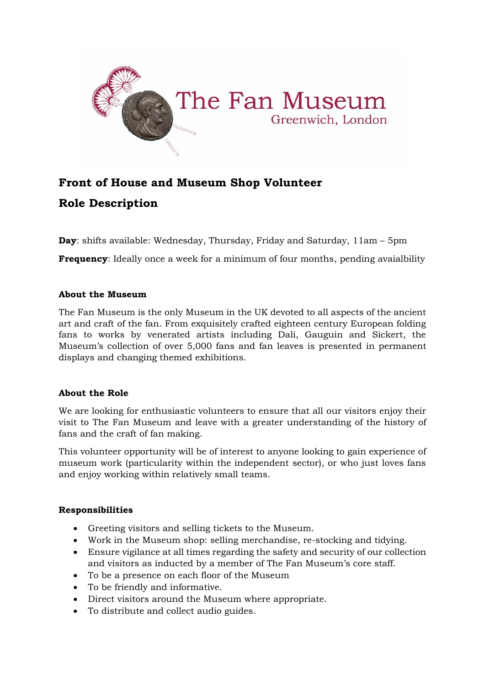

## **Front of House and Museum Shop Volunteer**

# **Role Description**

**Day**: shifts available: Wednesday, Thursday, Friday and Saturday, 11am – 5pm

**Frequency**: Ideally once a week for a minimum of four months, pending avaialbility

### **About the Museum**

The Fan Museum is the only Museum in the UK devoted to all aspects of the ancient art and craft of the fan. From exquisitely crafted eighteen century European folding fans to works by venerated artists including Dali, Gauguin and Sickert, the Museum's collection of over 5,000 fans and fan leaves is presented in permanent displays and changing themed exhibitions.

## **About the Role**

We are looking for enthusiastic volunteers to ensure that all our visitors enjoy their visit to The Fan Museum and leave with a greater understanding of the history of fans and the craft of fan making.

This volunteer opportunity will be of interest to anyone looking to gain experience of museum work (particularity within the independent sector), or who just loves fans and enjoy working within relatively small teams.

## **Responsibilities**

- Greeting visitors and selling tickets to the Museum.
- Work in the Museum shop: selling merchandise, re-stocking and tidying.
- Ensure vigilance at all times regarding the safety and security of our collection and visitors as inducted by a member of The Fan Museum's core staff.
- To be a presence on each floor of the Museum
- To be friendly and informative.
- Direct visitors around the Museum where appropriate.
- To distribute and collect audio guides.